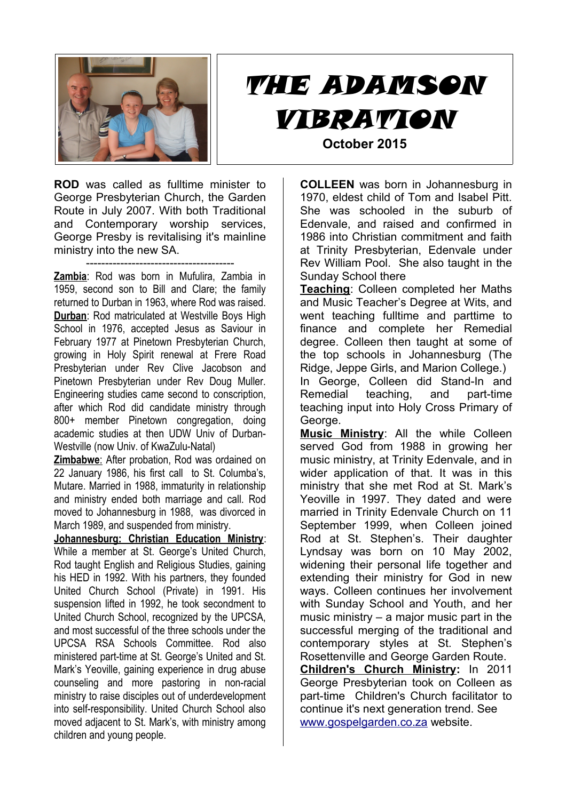

## THE ADAMSON VIBRATION **October 2015**

**ROD** was called as fulltime minister to George Presbyterian Church, the Garden Route in July 2007. With both Traditional and Contemporary worship services, George Presby is revitalising it's mainline ministry into the new SA.

--------------------------------------- **Zambia**: Rod was born in Mufulira, Zambia in 1959, second son to Bill and Clare; the family returned to Durban in 1963, where Rod was raised. **Durban**: Rod matriculated at Westville Boys High School in 1976, accepted Jesus as Saviour in February 1977 at Pinetown Presbyterian Church, growing in Holy Spirit renewal at Frere Road Presbyterian under Rev Clive Jacobson and Pinetown Presbyterian under Rev Doug Muller. Engineering studies came second to conscription, after which Rod did candidate ministry through 800+ member Pinetown congregation, doing academic studies at then UDW Univ of Durban-Westville (now Univ. of KwaZulu-Natal)

 **Zimbabwe**: After probation, Rod was ordained on 22 January 1986, his first call to St. Columba's, Mutare. Married in 1988, immaturity in relationship and ministry ended both marriage and call. Rod moved to Johannesburg in 1988, was divorced in March 1989, and suspended from ministry.

**Johannesburg: Christian Education Ministry**: While a member at St. George's United Church, Rod taught English and Religious Studies, gaining his HED in 1992. With his partners, they founded United Church School (Private) in 1991. His suspension lifted in 1992, he took secondment to United Church School, recognized by the UPCSA, and most successful of the three schools under the UPCSA RSA Schools Committee. Rod also ministered part-time at St. George's United and St. Mark's Yeoville, gaining experience in drug abuse counseling and more pastoring in non-racial ministry to raise disciples out of underdevelopment into self-responsibility. United Church School also moved adjacent to St. Mark's, with ministry among children and young people.

**COLLEEN** was born in Johannesburg in 1970, eldest child of Tom and Isabel Pitt. She was schooled in the suburb of Edenvale, and raised and confirmed in 1986 into Christian commitment and faith at Trinity Presbyterian, Edenvale under Rev William Pool. She also taught in the Sunday School there

**Teaching**: Colleen completed her Maths and Music Teacher's Degree at Wits, and went teaching fulltime and parttime to finance and complete her Remedial degree. Colleen then taught at some of the top schools in Johannesburg (The Ridge, Jeppe Girls, and Marion College.) In George, Colleen did Stand-In and Remedial teaching, and part-time teaching input into Holy Cross Primary of George.

**Music Ministry**: All the while Colleen served God from 1988 in growing her music ministry, at Trinity Edenvale, and in wider application of that. It was in this ministry that she met Rod at St. Mark's Yeoville in 1997. They dated and were married in Trinity Edenvale Church on 11 September 1999, when Colleen joined Rod at St. Stephen's. Their daughter Lyndsay was born on 10 May 2002, widening their personal life together and extending their ministry for God in new ways. Colleen continues her involvement with Sunday School and Youth, and her music ministry – a major music part in the successful merging of the traditional and contemporary styles at St. Stephen's Rosettenville and George Garden Route. **Children's Church Ministry:** In 2011 George Presbyterian took on Colleen as part-time Children's Church facilitator to continue it's next generation trend. See [www.gospelgarden.co.za](http://www.gospelgarden.co.za/) website.